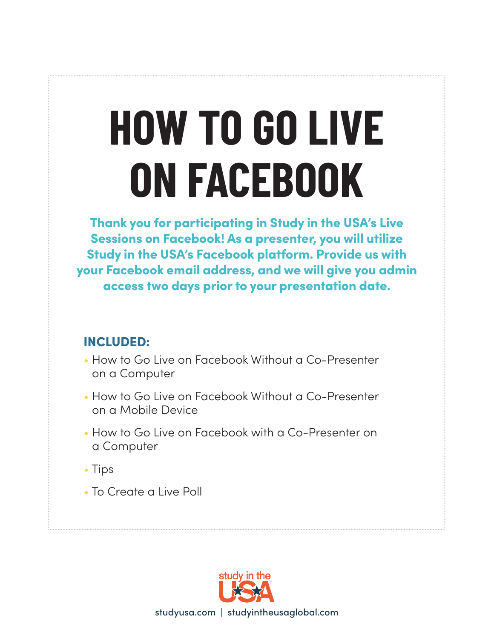# **HOW TO GO LIVE ON FACEBOOK**

Thank you for participating in Study in the USA's Live Sessions on Facebook! As a presenter, you will utilize Study in the USA's Facebook platform. Provide us with your Facebook email address, and we will give you admin access two days prior to your presentation date.

#### INCLUDED:

- How to Go Live on Facebook Without a Co-Presenter on a Computer
- How to Go Live on Facebook Without a Co-Presenter on a Mobile Device
- How to Go Live on Facebook with a Co-Presenter on a Computer
- Tips
- To Create a Live Poll

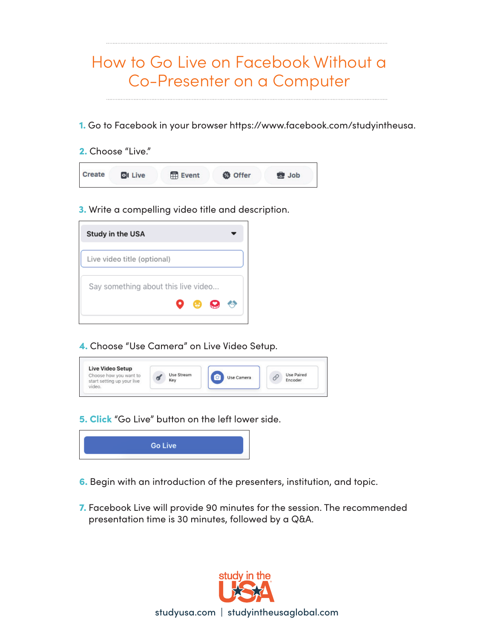### How to Go Live on Facebook Without a Co-Presenter on a Computer

- 1. Go to Facebook in your browser https://www.facebook.com/studyintheusa.
- 2. Choose "Live."

| <b>ol Live</b> | Event | <b>&amp;</b> Offer | <b>State</b> Job |
|----------------|-------|--------------------|------------------|
|                |       |                    |                  |

3. Write a compelling video title and description.

| <b>Study in the USA</b>             |  |
|-------------------------------------|--|
| Live video title (optional)         |  |
| Say something about this live video |  |
| $\mathbf{e}$ $\mathbf{e}$<br>О.     |  |

4. Choose "Use Camera" on Live Video Setup.



5. Click "Go Live" button on the left lower side.



- 6. Begin with an introduction of the presenters, institution, and topic.
- 7. Facebook Live will provide 90 minutes for the session. The recommended presentation time is 30 minutes, followed by a Q&A.

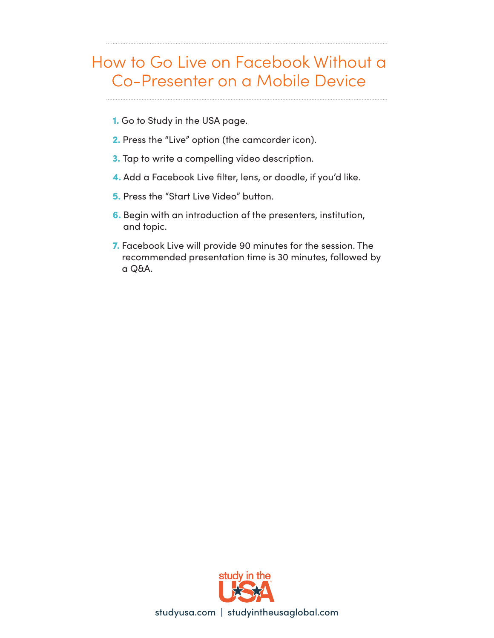#### How to Go Live on Facebook Without a Co-Presenter on a Mobile Device

- 1. Go to Study in the USA page.
- 2. Press the "Live" option (the camcorder icon).
- 3. Tap to write a compelling video description.
- 4. Add a Facebook Live filter, lens, or doodle, if you'd like.
- 5. Press the "Start Live Video" button.
- 6. Begin with an introduction of the presenters, institution, and topic.
- 7. Facebook Live will provide 90 minutes for the session. The recommended presentation time is 30 minutes, followed by a Q&A.

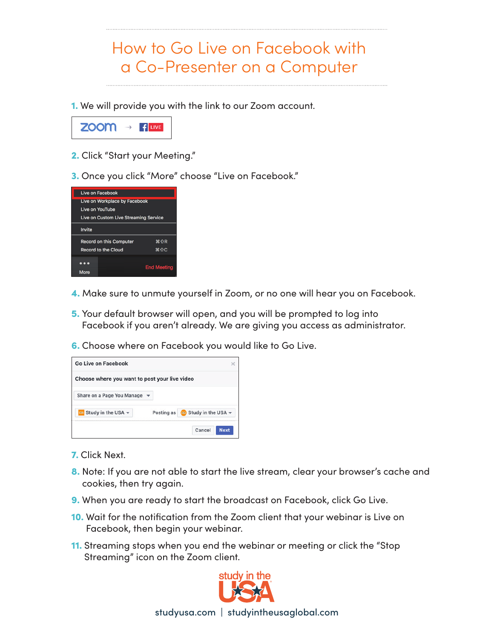## How to Go Live on Facebook with a Co-Presenter on a Computer

1. We will provide you with the link to our Zoom account.



- 2. Click "Start your Meeting."
- 3. Once you click "More" choose "Live on Facebook."



- 4. Make sure to unmute yourself in Zoom, or no one will hear you on Facebook.
- 5. Your default browser will open, and you will be prompted to log into Facebook if you aren't already. We are giving you access as administrator.
- 6. Choose where on Facebook you would like to Go Live.



- 7. Click Next.
- 8. Note: If you are not able to start the live stream, clear your browser's cache and cookies, then try again.
- 9. When you are ready to start the broadcast on Facebook, click Go Live.
- 10. Wait for the notification from the Zoom client that your webinar is Live on Facebook, then begin your webinar.
- 11. Streaming stops when you end the webinar or meeting or click the "Stop Streaming" icon on the Zoom client.

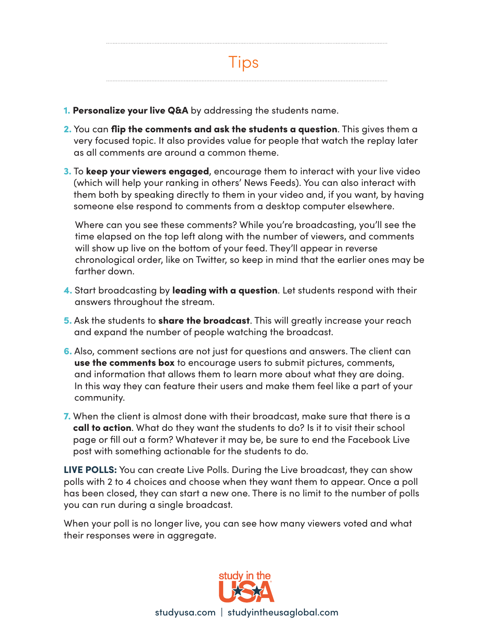

- 1. Personalize your live Q&A by addressing the students name.
- 2. You can flip the comments and ask the students a question. This gives them a very focused topic. It also provides value for people that watch the replay later as all comments are around a common theme.
- **3.** To keep your viewers engaged, encourage them to interact with your live video (which will help your ranking in others' News Feeds). You can also interact with them both by speaking directly to them in your video and, if you want, by having someone else respond to comments from a desktop computer elsewhere.

 Where can you see these comments? While you're broadcasting, you'll see the time elapsed on the top left along with the number of viewers, and comments will show up live on the bottom of your feed. They'll appear in reverse chronological order, like on Twitter, so keep in mind that the earlier ones may be farther down.

- 4. Start broadcasting by leading with a question. Let students respond with their answers throughout the stream.
- 5. Ask the students to **share the broadcast**. This will greatly increase your reach and expand the number of people watching the broadcast.
- 6. Also, comment sections are not just for questions and answers. The client can use the comments box to encourage users to submit pictures, comments, and information that allows them to learn more about what they are doing. In this way they can feature their users and make them feel like a part of your community.
- 7. When the client is almost done with their broadcast, make sure that there is a call to action. What do they want the students to do? Is it to visit their school page or fill out a form? Whatever it may be, be sure to end the Facebook Live post with something actionable for the students to do.

LIVE POLLS: You can create Live Polls. During the Live broadcast, they can show polls with 2 to 4 choices and choose when they want them to appear. Once a poll has been closed, they can start a new one. There is no limit to the number of polls you can run during a single broadcast.

When your poll is no longer live, you can see how many viewers voted and what their responses were in aggregate.